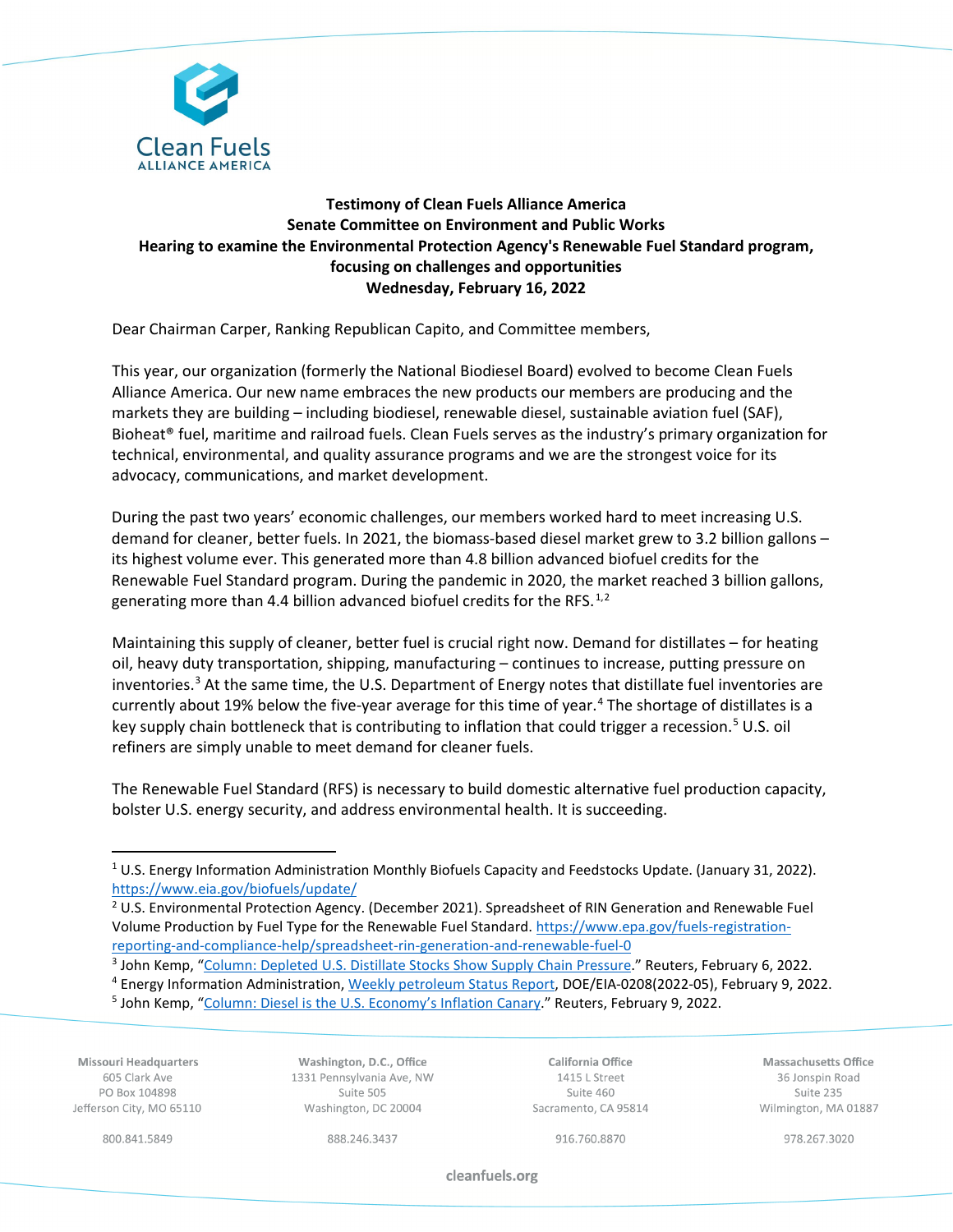

# **Testimony of Clean Fuels Alliance America Senate Committee on Environment and Public Works Hearing to examine the Environmental Protection Agency's Renewable Fuel Standard program, focusing on challenges and opportunities Wednesday, February 16, 2022**

Dear Chairman Carper, Ranking Republican Capito, and Committee members,

This year, our organization (formerly the National Biodiesel Board) evolved to become Clean Fuels Alliance America. Our new name embraces the new products our members are producing and the markets they are building – including biodiesel, renewable diesel, sustainable aviation fuel (SAF), Bioheat® fuel, maritime and railroad fuels. Clean Fuels serves as the industry's primary organization for technical, environmental, and quality assurance programs and we are the strongest voice for its advocacy, communications, and market development.

During the past two years' economic challenges, our members worked hard to meet increasing U.S. demand for cleaner, better fuels. In 2021, the biomass-based diesel market grew to 3.2 billion gallons – its highest volume ever. This generated more than 4.8 billion advanced biofuel credits for the Renewable Fuel Standard program. During the pandemic in 2020, the market reached 3 billion gallons, generating more than 4.4 billion advanced biofuel credits for the RFS. $^{1,2}$  $^{1,2}$  $^{1,2}$  $^{1,2}$  $^{1,2}$ 

Maintaining this supply of cleaner, better fuel is crucial right now. Demand for distillates – for heating oil, heavy duty transportation, shipping, manufacturing – continues to increase, putting pressure on inventories. $3$  At the same time, the U.S. Department of Energy notes that distillate fuel inventories are currently about 19% below the five-year average for this time of year.<sup>[4](#page-0-3)</sup> The shortage of distillates is a key supply chain bottleneck that is contributing to inflation that could trigger a recession.<sup>[5](#page-0-4)</sup> U.S. oil refiners are simply unable to meet demand for cleaner fuels.

The Renewable Fuel Standard (RFS) is necessary to build domestic alternative fuel production capacity, bolster U.S. energy security, and address environmental health. It is succeeding.

<span id="page-0-4"></span><span id="page-0-3"></span>Missouri Headquarters 605 Clark Ave PO Box 104898 Jefferson City, MO 65110

Washington, D.C., Office 1331 Pennsylvania Ave, NW Suite 505 Washington, DC 20004

California Office 1415 L Street Suite 460 Sacramento, CA 95814

Massachusetts Office 36 Jonspin Road Suite 235 Wilmington, MA 01887

800.841.5849

888.246.3437

916.760.8870

978.267.3020

cleanfuels.org

<span id="page-0-0"></span><sup>&</sup>lt;sup>1</sup> U.S. Energy Information Administration Monthly Biofuels Capacity and Feedstocks Update. (January 31, 2022). https://www.eia.gov/biofuels/update/<br><sup>2</sup> U.S. Environmental Protection Agency. (December 2021). Spreadsheet of RIN Generation and Renewable Fuel

<span id="page-0-1"></span>Volume Production by Fuel Type for the Renewable Fuel Standard. [https://www.epa.gov/fuels-registration](https://www.epa.gov/fuels-registration-reporting-and-compliance-help/spreadsheet-rin-generation-and-renewable-fuel-0)[reporting-and-compliance-help/spreadsheet-rin-generation-and-renewable-fuel-0](https://www.epa.gov/fuels-registration-reporting-and-compliance-help/spreadsheet-rin-generation-and-renewable-fuel-0)

<span id="page-0-2"></span><sup>&</sup>lt;sup>3</sup> John Kemp, ["Column: Depleted U.S. Distillate Stocks Show Supply Chain Pressure.](https://www.reuters.com/business/energy/depleted-us-distillate-stocks-show-supply-chain-pressure-kemp-2022-02-04/)" Reuters, February 6, 2022.<br><sup>4</sup> Energy Information Administration, [Weekly petroleum Status Report,](https://www.eia.gov/petroleum/supply/weekly/pdf/wpsrall.pdf) DOE/EIA-0208(2022-05), February 9, 2022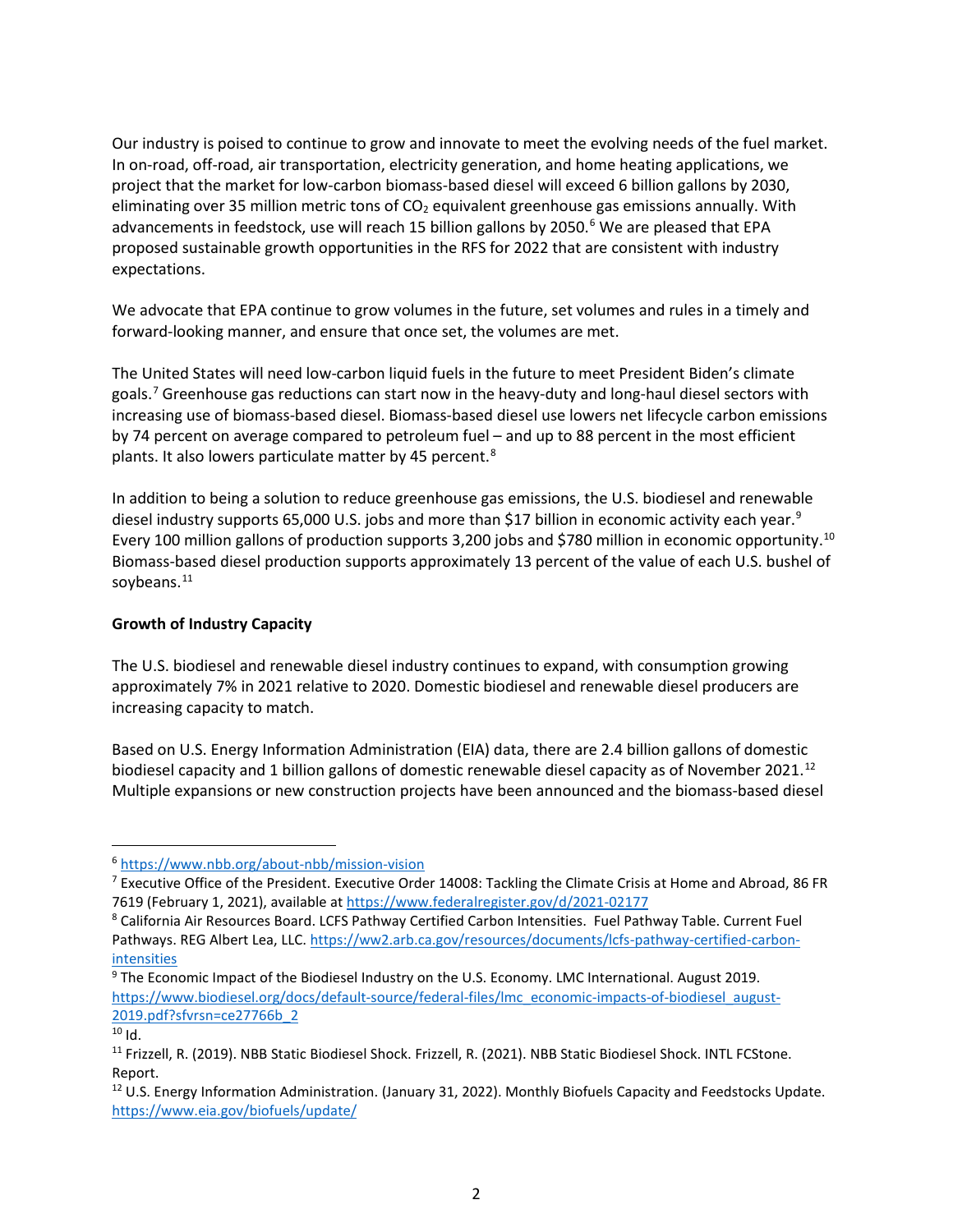Our industry is poised to continue to grow and innovate to meet the evolving needs of the fuel market. In on-road, off-road, air transportation, electricity generation, and home heating applications, we project that the market for low-carbon biomass-based diesel will exceed 6 billion gallons by 2030, eliminating over 35 million metric tons of  $CO<sub>2</sub>$  equivalent greenhouse gas emissions annually. With advancements in feedstock, use will reach 15 billion gallons by 2050.<sup>[6](#page-1-0)</sup> We are pleased that EPA proposed sustainable growth opportunities in the RFS for 2022 that are consistent with industry expectations.

We advocate that EPA continue to grow volumes in the future, set volumes and rules in a timely and forward-looking manner, and ensure that once set, the volumes are met.

The United States will need low-carbon liquid fuels in the future to meet President Biden's climate goals.[7](#page-1-1) Greenhouse gas reductions can start now in the heavy-duty and long-haul diesel sectors with increasing use of biomass-based diesel. Biomass-based diesel use lowers net lifecycle carbon emissions by 74 percent on average compared to petroleum fuel – and up to 88 percent in the most efficient plants. It also lowers particulate matter by 45 percent.<sup>[8](#page-1-2)</sup>

In addition to being a solution to reduce greenhouse gas emissions, the U.S. biodiesel and renewable diesel industry supports 65,000 U.S. jobs and more than \$17 billion in economic activity each year.<sup>[9](#page-1-3)</sup> Every [10](#page-1-4)0 million gallons of production supports 3,200 jobs and \$780 million in economic opportunity.<sup>10</sup> Biomass-based diesel production supports approximately 13 percent of the value of each U.S. bushel of soybeans.<sup>[11](#page-1-5)</sup>

## **Growth of Industry Capacity**

The U.S. biodiesel and renewable diesel industry continues to expand, with consumption growing approximately 7% in 2021 relative to 2020. Domestic biodiesel and renewable diesel producers are increasing capacity to match.

Based on U.S. Energy Information Administration (EIA) data, there are 2.4 billion gallons of domestic biodiesel capacity and 1 billion gallons of domestic renewable diesel capacity as of November 2021.<sup>[12](#page-1-6)</sup> Multiple expansions or new construction projects have been announced and the biomass-based diesel

<span id="page-1-0"></span><sup>6</sup> <https://www.nbb.org/about-nbb/mission-vision>

<span id="page-1-1"></span><sup>&</sup>lt;sup>7</sup> Executive Office of the President. Executive Order 14008: Tackling the Climate Crisis at Home and Abroad, 86 FR 7619 (February 1, 2021), available at <https://www.federalregister.gov/d/2021-02177>

<span id="page-1-2"></span><sup>8</sup> California Air Resources Board. LCFS Pathway Certified Carbon Intensities. Fuel Pathway Table. Current Fuel Pathways. REG Albert Lea, LLC. [https://ww2.arb.ca.gov/resources/documents/lcfs-pathway-certified-carbon](https://ww2.arb.ca.gov/resources/documents/lcfs-pathway-certified-carbon-intensities)[intensities](https://ww2.arb.ca.gov/resources/documents/lcfs-pathway-certified-carbon-intensities)

<span id="page-1-3"></span><sup>9</sup> The Economic Impact of the Biodiesel Industry on the U.S. Economy. LMC International. August 2019. [https://www.biodiesel.org/docs/default-source/federal-files/lmc\\_economic-impacts-of-biodiesel\\_august-](https://www.biodiesel.org/docs/default-source/federal-files/lmc_economic-impacts-of-biodiesel_august-2019.pdf?sfvrsn=ce27766b_2)[2019.pdf?sfvrsn=ce27766b\\_2](https://www.biodiesel.org/docs/default-source/federal-files/lmc_economic-impacts-of-biodiesel_august-2019.pdf?sfvrsn=ce27766b_2)

<span id="page-1-4"></span> $10$  Id.

<span id="page-1-5"></span><sup>&</sup>lt;sup>11</sup> Frizzell, R. (2019). NBB Static Biodiesel Shock. Frizzell, R. (2021). NBB Static Biodiesel Shock. INTL FCStone. Report.

<span id="page-1-6"></span><sup>12</sup> U.S. Energy Information Administration. (January 31, 2022). Monthly Biofuels Capacity and Feedstocks Update. <https://www.eia.gov/biofuels/update/>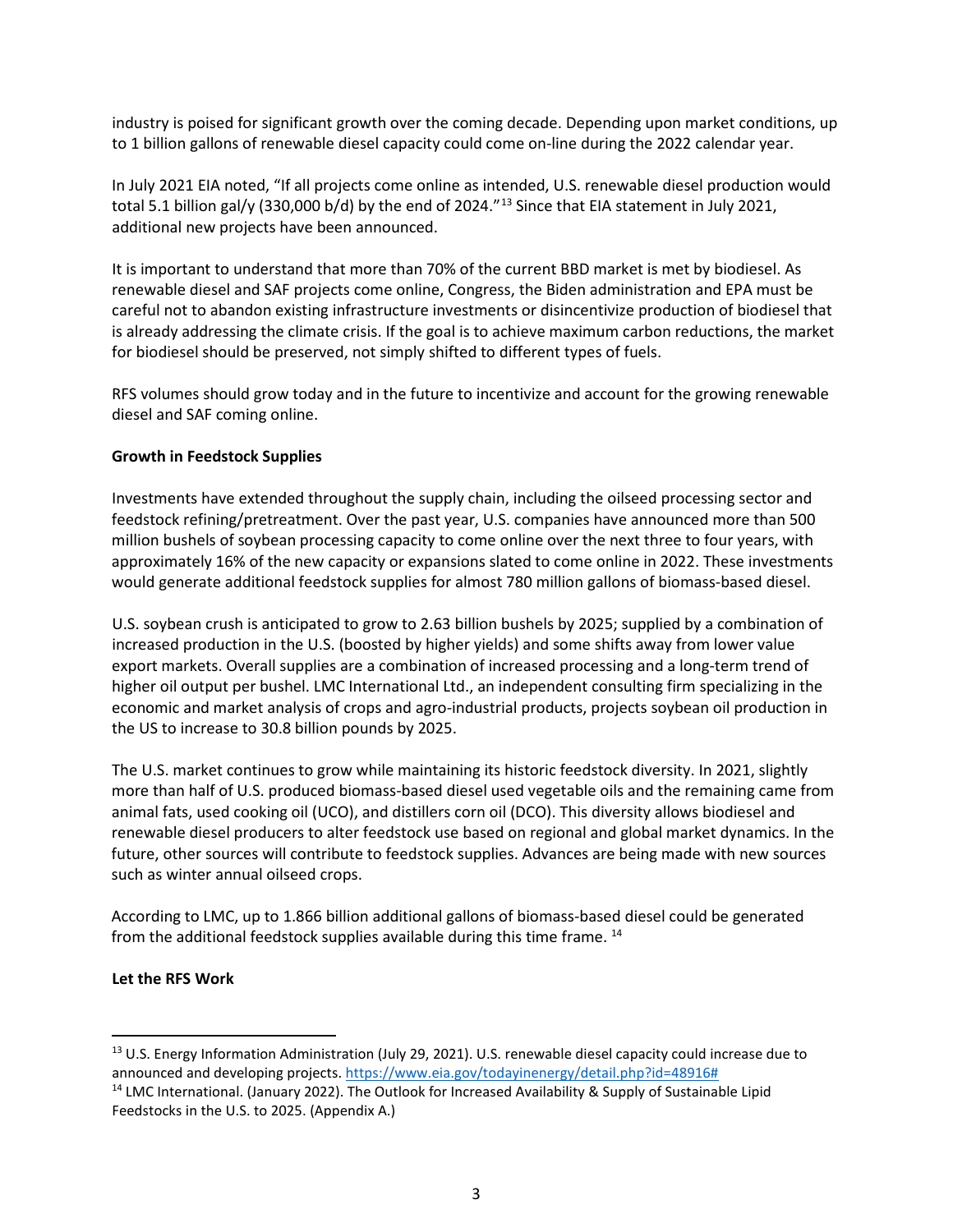industry is poised for significant growth over the coming decade. Depending upon market conditions, up to 1 billion gallons of renewable diesel capacity could come on-line during the 2022 calendar year.

In July 2021 EIA noted, "If all projects come online as intended, U.S. renewable diesel production would total 5.1 billion gal/y (330,000 b/d) by the end of 2024."<sup>[13](#page-2-0)</sup> Since that EIA statement in July 2021, additional new projects have been announced.

It is important to understand that more than 70% of the current BBD market is met by biodiesel. As renewable diesel and SAF projects come online, Congress, the Biden administration and EPA must be careful not to abandon existing infrastructure investments or disincentivize production of biodiesel that is already addressing the climate crisis. If the goal is to achieve maximum carbon reductions, the market for biodiesel should be preserved, not simply shifted to different types of fuels.

RFS volumes should grow today and in the future to incentivize and account for the growing renewable diesel and SAF coming online.

### **Growth in Feedstock Supplies**

Investments have extended throughout the supply chain, including the oilseed processing sector and feedstock refining/pretreatment. Over the past year, U.S. companies have announced more than 500 million bushels of soybean processing capacity to come online over the next three to four years, with approximately 16% of the new capacity or expansions slated to come online in 2022. These investments would generate additional feedstock supplies for almost 780 million gallons of biomass-based diesel.

U.S. soybean crush is anticipated to grow to 2.63 billion bushels by 2025; supplied by a combination of increased production in the U.S. (boosted by higher yields) and some shifts away from lower value export markets. Overall supplies are a combination of increased processing and a long-term trend of higher oil output per bushel. LMC International Ltd., an independent consulting firm specializing in the economic and market analysis of crops and agro-industrial products, projects soybean oil production in the US to increase to 30.8 billion pounds by 2025.

The U.S. market continues to grow while maintaining its historic feedstock diversity. In 2021, slightly more than half of U.S. produced biomass-based diesel used vegetable oils and the remaining came from animal fats, used cooking oil (UCO), and distillers corn oil (DCO). This diversity allows biodiesel and renewable diesel producers to alter feedstock use based on regional and global market dynamics. In the future, other sources will contribute to feedstock supplies. Advances are being made with new sources such as winter annual oilseed crops.

According to LMC, up to 1.866 billion additional gallons of biomass-based diesel could be generated from the additional feedstock supplies available during this time frame.<sup>[14](#page-2-1)</sup>

#### **Let the RFS Work**

<span id="page-2-0"></span><sup>&</sup>lt;sup>13</sup> U.S. Energy Information Administration (July 29, 2021). U.S. renewable diesel capacity could increase due to announced and developing projects. [https://www.eia.gov/todayinenergy/detail.php?id=48916#](https://www.eia.gov/todayinenergy/detail.php?id=48916)

<span id="page-2-1"></span><sup>&</sup>lt;sup>14</sup> LMC International. (January 2022). The Outlook for Increased Availability & Supply of Sustainable Lipid Feedstocks in the U.S. to 2025. (Appendix A.)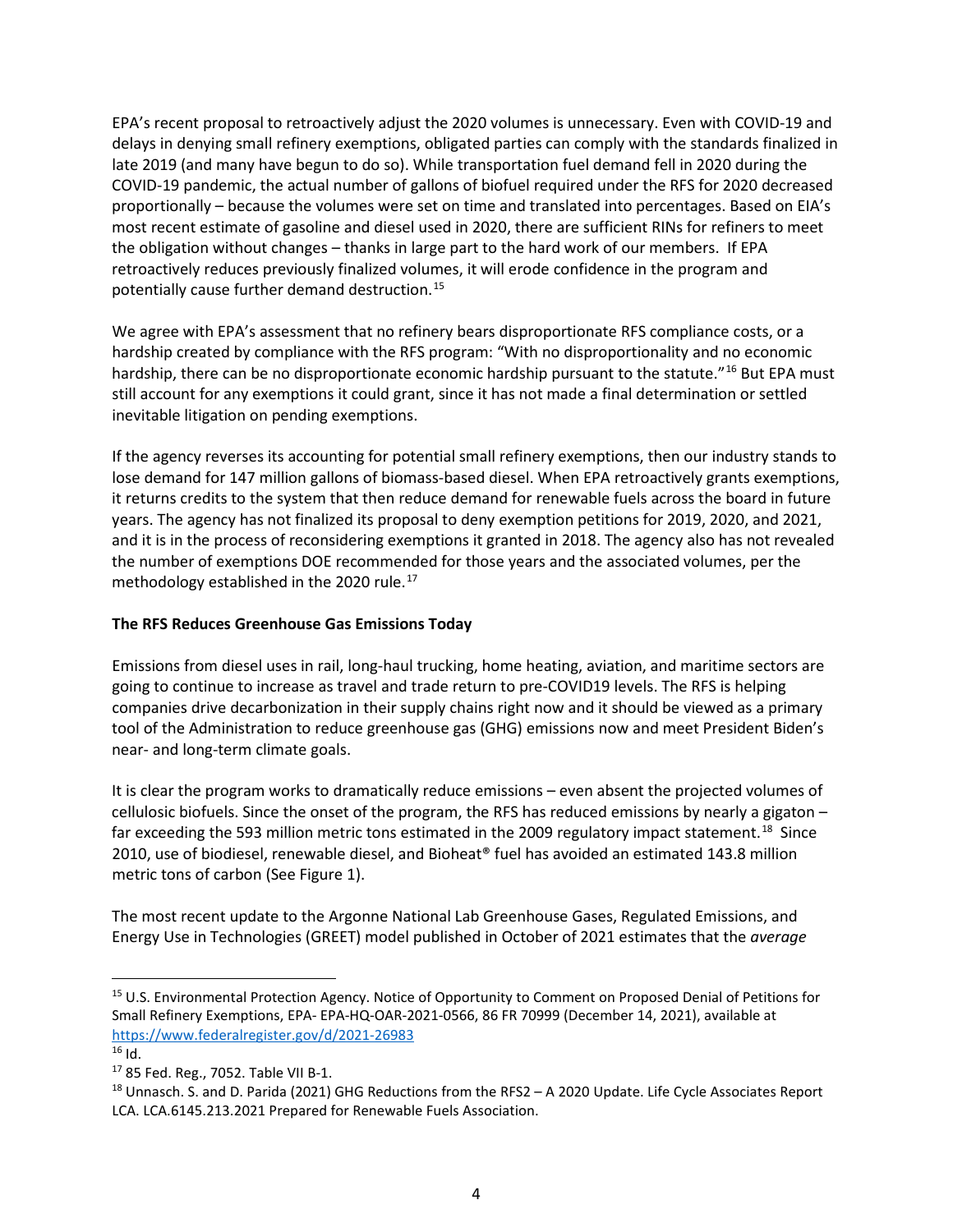EPA's recent proposal to retroactively adjust the 2020 volumes is unnecessary. Even with COVID-19 and delays in denying small refinery exemptions, obligated parties can comply with the standards finalized in late 2019 (and many have begun to do so). While transportation fuel demand fell in 2020 during the COVID-19 pandemic, the actual number of gallons of biofuel required under the RFS for 2020 decreased proportionally – because the volumes were set on time and translated into percentages. Based on EIA's most recent estimate of gasoline and diesel used in 2020, there are sufficient RINs for refiners to meet the obligation without changes – thanks in large part to the hard work of our members. If EPA retroactively reduces previously finalized volumes, it will erode confidence in the program and potentially cause further demand destruction.[15](#page-3-0)

We agree with EPA's assessment that no refinery bears disproportionate RFS compliance costs, or a hardship created by compliance with the RFS program: "With no disproportionality and no economic hardship, there can be no disproportionate economic hardship pursuant to the statute."<sup>[16](#page-3-1)</sup> But EPA must still account for any exemptions it could grant, since it has not made a final determination or settled inevitable litigation on pending exemptions.

If the agency reverses its accounting for potential small refinery exemptions, then our industry stands to lose demand for 147 million gallons of biomass-based diesel. When EPA retroactively grants exemptions, it returns credits to the system that then reduce demand for renewable fuels across the board in future years. The agency has not finalized its proposal to deny exemption petitions for 2019, 2020, and 2021, and it is in the process of reconsidering exemptions it granted in 2018. The agency also has not revealed the number of exemptions DOE recommended for those years and the associated volumes, per the methodology established in the 2020 rule. [17](#page-3-2)

## **The RFS Reduces Greenhouse Gas Emissions Today**

Emissions from diesel uses in rail, long-haul trucking, home heating, aviation, and maritime sectors are going to continue to increase as travel and trade return to pre-COVID19 levels. The RFS is helping companies drive decarbonization in their supply chains right now and it should be viewed as a primary tool of the Administration to reduce greenhouse gas (GHG) emissions now and meet President Biden's near- and long-term climate goals.

It is clear the program works to dramatically reduce emissions – even absent the projected volumes of cellulosic biofuels. Since the onset of the program, the RFS has reduced emissions by nearly a gigaton – far exceeding the 593 million metric tons estimated in the 2009 regulatory impact statement.<sup>18</sup> Since 2010, use of biodiesel, renewable diesel, and Bioheat® fuel has avoided an estimated 143.8 million metric tons of carbon (See Figure 1).

The most recent update to the Argonne National Lab Greenhouse Gases, Regulated Emissions, and Energy Use in Technologies (GREET) model published in October of 2021 estimates that the *average*

<span id="page-3-0"></span><sup>15</sup> U.S. Environmental Protection Agency. Notice of Opportunity to Comment on Proposed Denial of Petitions for Small Refinery Exemptions, EPA- EPA-HQ-OAR-2021-0566, 86 FR 70999 (December 14, 2021), available at <https://www.federalregister.gov/d/2021-26983>

<span id="page-3-1"></span> $16$  Id.

<span id="page-3-2"></span><sup>17</sup> 85 Fed. Reg., 7052. Table VII B-1.

<span id="page-3-3"></span> $^{18}$  Unnasch. S. and D. Parida (2021) GHG Reductions from the RFS2 – A 2020 Update. Life Cycle Associates Report LCA. LCA.6145.213.2021 Prepared for Renewable Fuels Association.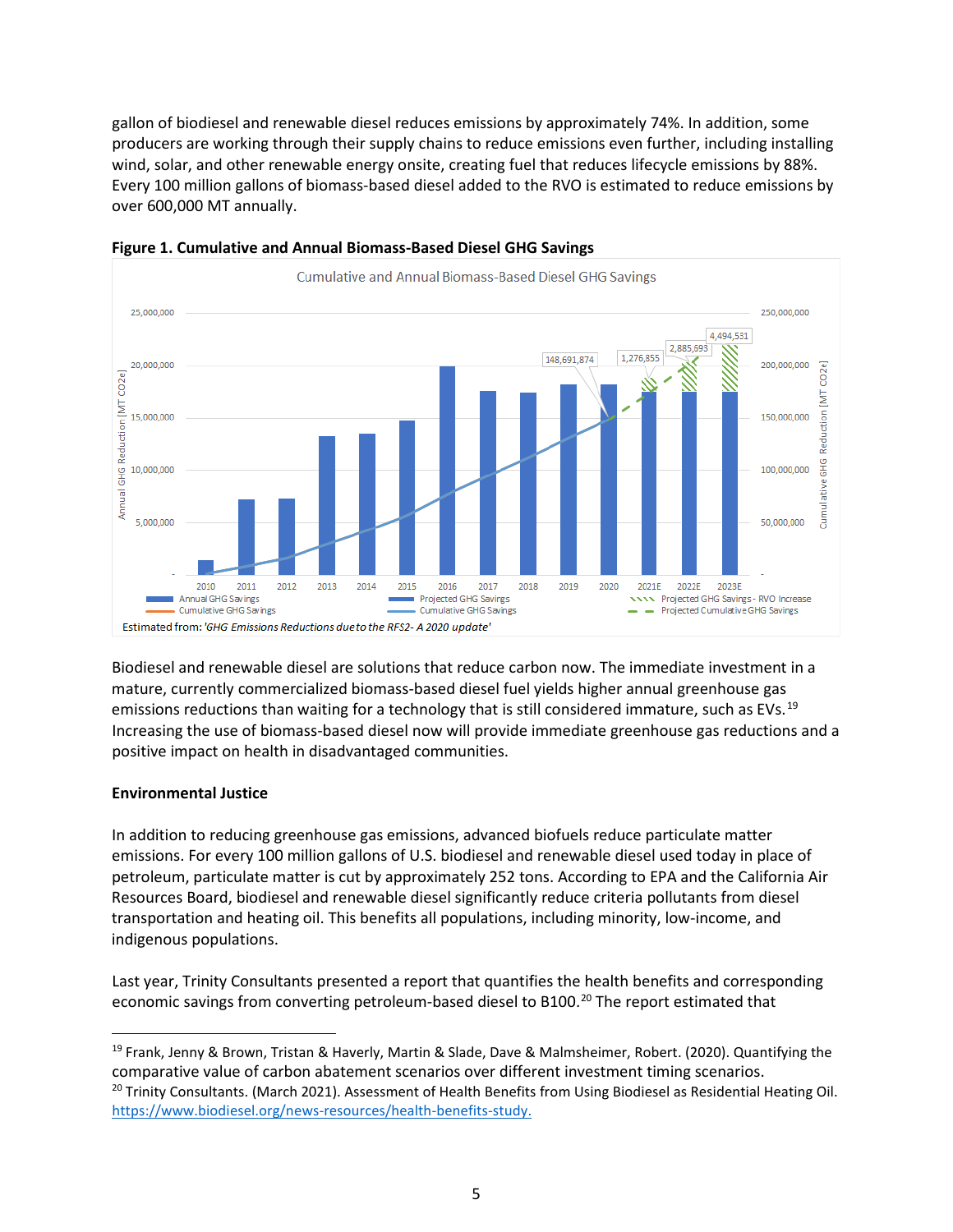gallon of biodiesel and renewable diesel reduces emissions by approximately 74%. In addition, some producers are working through their supply chains to reduce emissions even further, including installing wind, solar, and other renewable energy onsite, creating fuel that reduces lifecycle emissions by 88%. Every 100 million gallons of biomass-based diesel added to the RVO is estimated to reduce emissions by over 600,000 MT annually.



#### **Figure 1. Cumulative and Annual Biomass-Based Diesel GHG Savings**

Biodiesel and renewable diesel are solutions that reduce carbon now. The immediate investment in a mature, currently commercialized biomass-based diesel fuel yields higher annual greenhouse gas emissions reductions than waiting for a technology that is still considered immature, such as EVs.<sup>[19](#page-4-0)</sup> Increasing the use of biomass-based diesel now will provide immediate greenhouse gas reductions and a positive impact on health in disadvantaged communities.

# **Environmental Justice**

In addition to reducing greenhouse gas emissions, advanced biofuels reduce particulate matter emissions. For every 100 million gallons of U.S. biodiesel and renewable diesel used today in place of petroleum, particulate matter is cut by approximately 252 tons. According to EPA and the California Air Resources Board, biodiesel and renewable diesel significantly reduce criteria pollutants from diesel transportation and heating oil. This benefits all populations, including minority, low-income, and indigenous populations.

Last year, Trinity Consultants presented a report that quantifies the health benefits and corresponding economic savings from converting petroleum-based diesel to B100.<sup>[20](#page-4-1)</sup> The report estimated that

<span id="page-4-1"></span><span id="page-4-0"></span><sup>&</sup>lt;sup>19</sup> Frank, Jenny & Brown, Tristan & Haverly, Martin & Slade, Dave & Malmsheimer, Robert. (2020). Quantifying the comparative value of carbon abatement scenarios over different investment timing scenarios. <sup>20</sup> Trinity Consultants. (March 2021). Assessment of Health Benefits from Using Biodiesel as Residential Heating Oil. [https://www.biodiesel.org/news-resources/health-benefits-study.](https://www.biodiesel.org/news-resources/health-benefits-study)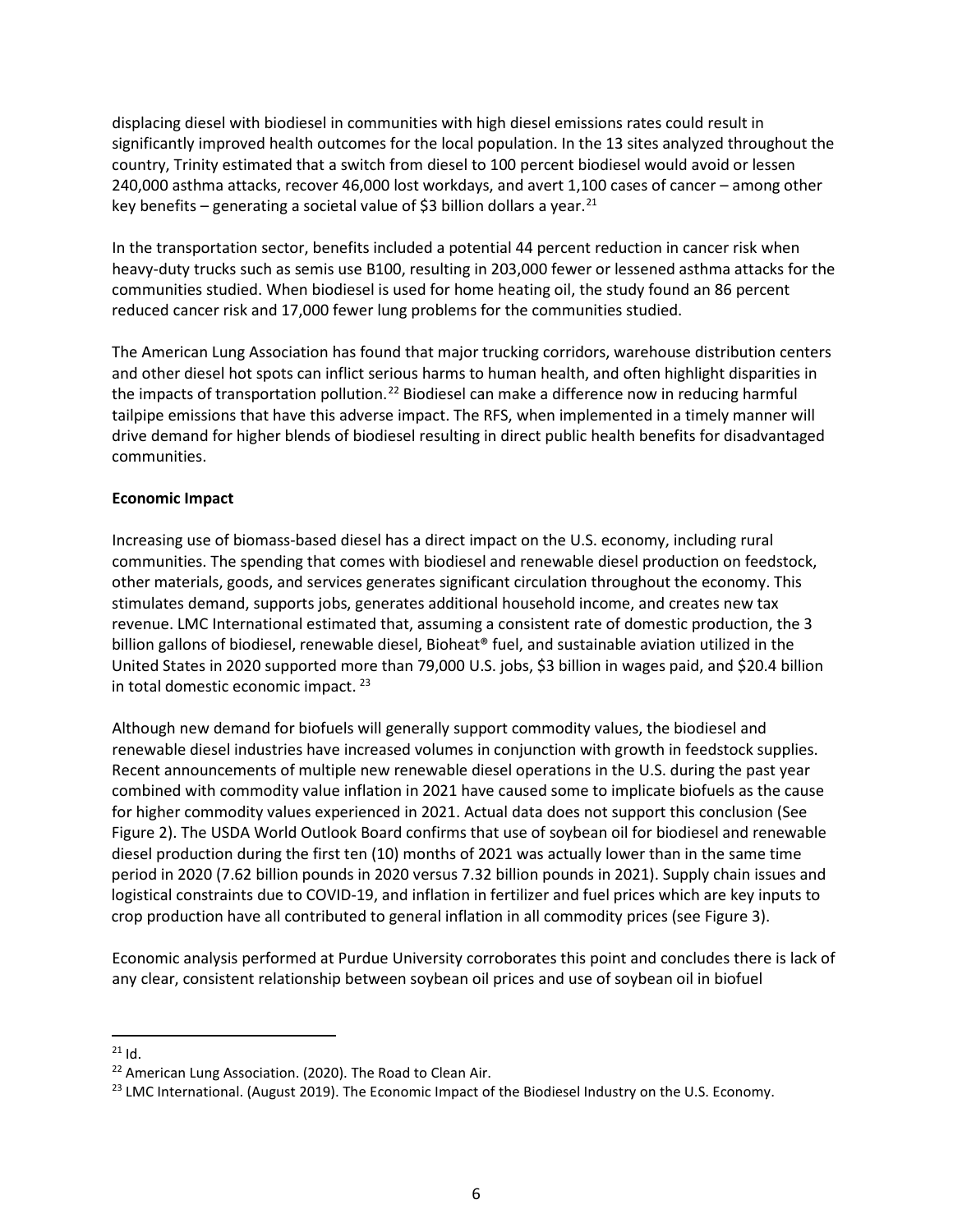displacing diesel with biodiesel in communities with high diesel emissions rates could result in significantly improved health outcomes for the local population. In the 13 sites analyzed throughout the country, Trinity estimated that a switch from diesel to 100 percent biodiesel would avoid or lessen 240,000 asthma attacks, recover 46,000 lost workdays, and avert 1,100 cases of cancer – among other key benefits – generating a societal value of \$3 billion dollars a year.<sup>[21](#page-5-0)</sup>

In the transportation sector, benefits included a potential 44 percent reduction in cancer risk when heavy-duty trucks such as semis use B100, resulting in 203,000 fewer or lessened asthma attacks for the communities studied. When biodiesel is used for home heating oil, the study found an 86 percent reduced cancer risk and 17,000 fewer lung problems for the communities studied.

The American Lung Association has found that major trucking corridors, warehouse distribution centers and other diesel hot spots can inflict serious harms to human health, and often highlight disparities in the impacts of transportation pollution.<sup>[22](#page-5-1)</sup> Biodiesel can make a difference now in reducing harmful tailpipe emissions that have this adverse impact. The RFS, when implemented in a timely manner will drive demand for higher blends of biodiesel resulting in direct public health benefits for disadvantaged communities.

#### **Economic Impact**

Increasing use of biomass-based diesel has a direct impact on the U.S. economy, including rural communities. The spending that comes with biodiesel and renewable diesel production on feedstock, other materials, goods, and services generates significant circulation throughout the economy. This stimulates demand, supports jobs, generates additional household income, and creates new tax revenue. LMC International estimated that, assuming a consistent rate of domestic production, the 3 billion gallons of biodiesel, renewable diesel, Bioheat® fuel, and sustainable aviation utilized in the United States in 2020 supported more than 79,000 U.S. jobs, \$3 billion in wages paid, and \$20.4 billion in total domestic economic impact. [23](#page-5-2)

Although new demand for biofuels will generally support commodity values, the biodiesel and renewable diesel industries have increased volumes in conjunction with growth in feedstock supplies. Recent announcements of multiple new renewable diesel operations in the U.S. during the past year combined with commodity value inflation in 2021 have caused some to implicate biofuels as the cause for higher commodity values experienced in 2021. Actual data does not support this conclusion (See Figure 2). The USDA World Outlook Board confirms that use of soybean oil for biodiesel and renewable diesel production during the first ten (10) months of 2021 was actually lower than in the same time period in 2020 (7.62 billion pounds in 2020 versus 7.32 billion pounds in 2021). Supply chain issues and logistical constraints due to COVID-19, and inflation in fertilizer and fuel prices which are key inputs to crop production have all contributed to general inflation in all commodity prices (see Figure 3).

Economic analysis performed at Purdue University corroborates this point and concludes there is lack of any clear, consistent relationship between soybean oil prices and use of soybean oil in biofuel

<span id="page-5-0"></span> $21$  Id.

<span id="page-5-1"></span><sup>&</sup>lt;sup>22</sup> American Lung Association. (2020). The Road to Clean Air.

<span id="page-5-2"></span><sup>&</sup>lt;sup>23</sup> LMC International. (August 2019). The Economic Impact of the Biodiesel Industry on the U.S. Economy.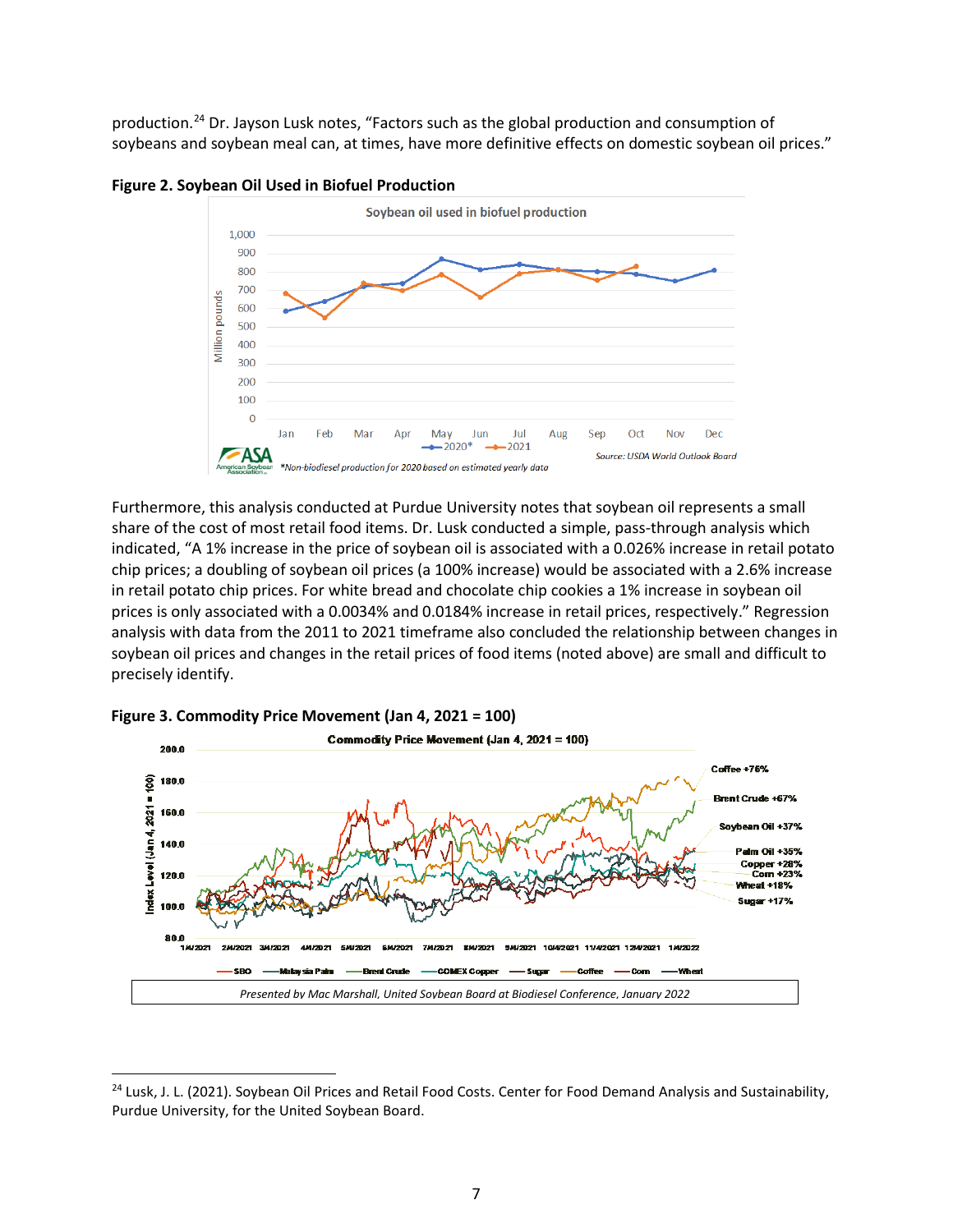production.<sup>[24](#page-6-0)</sup> Dr. Jayson Lusk notes, "Factors such as the global production and consumption of soybeans and soybean meal can, at times, have more definitive effects on domestic soybean oil prices."



**Figure 2. Soybean Oil Used in Biofuel Production**

Furthermore, this analysis conducted at Purdue University notes that soybean oil represents a small share of the cost of most retail food items. Dr. Lusk conducted a simple, pass-through analysis which indicated, "A 1% increase in the price of soybean oil is associated with a 0.026% increase in retail potato chip prices; a doubling of soybean oil prices (a 100% increase) would be associated with a 2.6% increase in retail potato chip prices. For white bread and chocolate chip cookies a 1% increase in soybean oil prices is only associated with a 0.0034% and 0.0184% increase in retail prices, respectively." Regression analysis with data from the 2011 to 2021 timeframe also concluded the relationship between changes in soybean oil prices and changes in the retail prices of food items (noted above) are small and difficult to precisely identify.



**Figure 3. Commodity Price Movement (Jan 4, 2021 = 100)**

<span id="page-6-0"></span><sup>&</sup>lt;sup>24</sup> Lusk, J. L. (2021). Soybean Oil Prices and Retail Food Costs. Center for Food Demand Analysis and Sustainability, Purdue University, for the United Soybean Board.